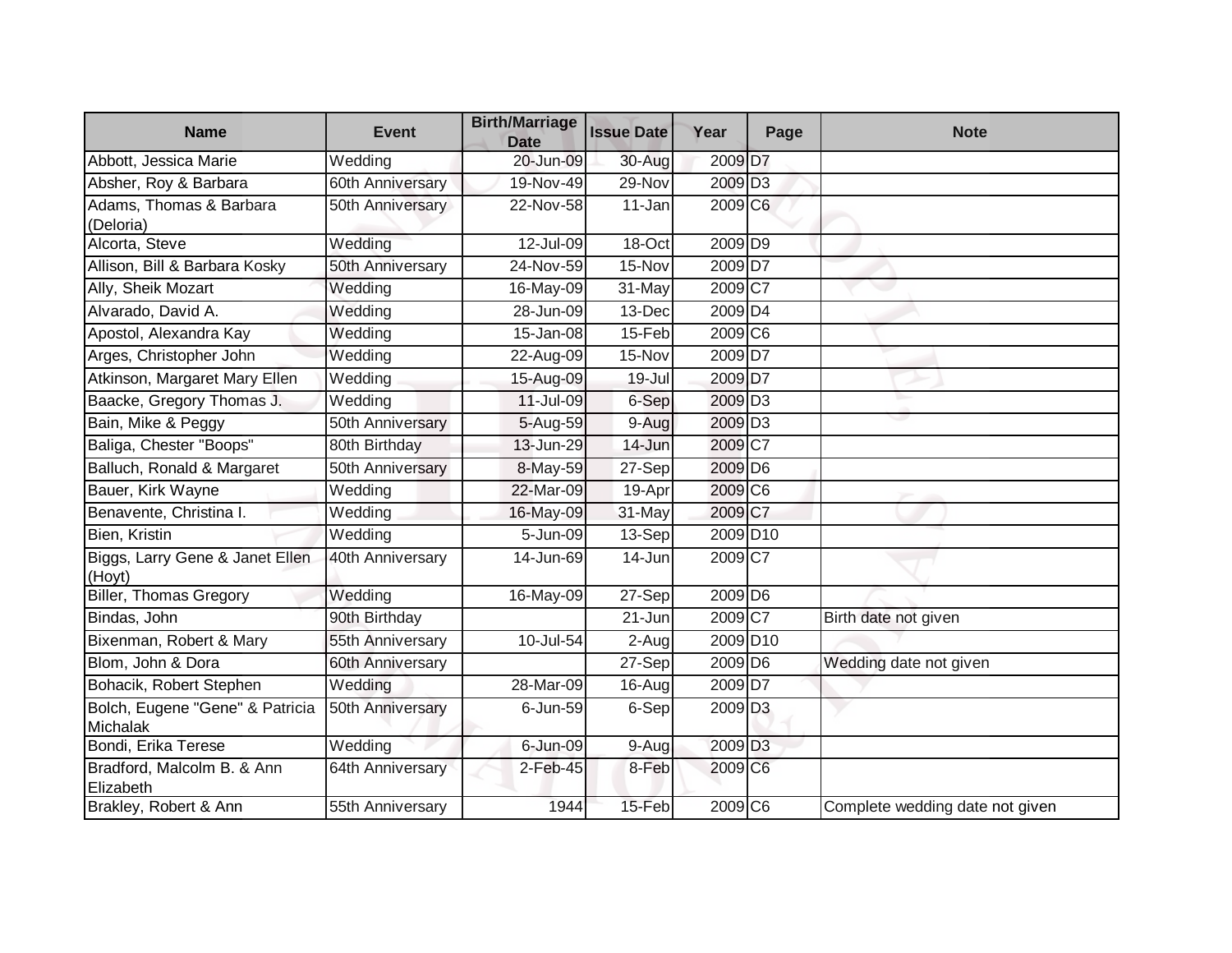| <b>Name</b>                                 | <b>Event</b>     | <b>Birth/Marriage</b><br><b>Date</b> | <b>Issue Date</b> | Year                 | Page | <b>Note</b>                     |
|---------------------------------------------|------------------|--------------------------------------|-------------------|----------------------|------|---------------------------------|
| Abbott, Jessica Marie                       | Wedding          | 20-Jun-09                            | 30-Aug            | 2009 D7              |      |                                 |
| Absher, Roy & Barbara                       | 60th Anniversary | 19-Nov-49                            | 29-Nov            | 2009 D <sub>3</sub>  |      |                                 |
| Adams, Thomas & Barbara<br>(Deloria)        | 50th Anniversary | 22-Nov-58                            | 11-Jan            | 2009 C <sub>6</sub>  |      |                                 |
| Alcorta, Steve                              | Wedding          | 12-Jul-09                            | 18-Oct            | 2009 D9              |      |                                 |
| Allison, Bill & Barbara Kosky               | 50th Anniversary | 24-Nov-59                            | 15-Nov            | 2009 <sub>D7</sub>   |      |                                 |
| Ally, Sheik Mozart                          | Wedding          | 16-May-09                            | 31-May            | $2009$ C7            |      |                                 |
| Alvarado, David A.                          | Wedding          | 28-Jun-09                            | 13-Dec            | $2009\overline{D4}$  |      |                                 |
| Apostol, Alexandra Kay                      | Wedding          | 15-Jan-08                            | 15-Feb            | 2009 C <sub>6</sub>  |      |                                 |
| Arges, Christopher John                     | Wedding          | 22-Aug-09                            | 15-Nov            | 2009 D7              |      |                                 |
| Atkinson, Margaret Mary Ellen               | Wedding          | 15-Aug-09                            | 19-Jul            | 2009 D7              |      |                                 |
| Baacke, Gregory Thomas J.                   | Wedding          | 11-Jul-09                            | 6-Sep             | 2009 D <sub>3</sub>  |      |                                 |
| Bain, Mike & Peggy                          | 50th Anniversary | 5-Aug-59                             | 9-Aug             | 2009 D <sub>3</sub>  |      |                                 |
| Baliga, Chester "Boops"                     | 80th Birthday    | 13-Jun-29                            | 14-Jun            | 2009 C7              |      |                                 |
| Balluch, Ronald & Margaret                  | 50th Anniversary | 8-May-59                             | 27-Sep            | 2009 D6              |      |                                 |
| Bauer, Kirk Wayne                           | Wedding          | 22-Mar-09                            | 19-Apr            | 2009 C6              |      |                                 |
| Benavente, Christina I.                     | Wedding          | 16-May-09                            | 31-May            | 2009 C7              |      |                                 |
| Bien, Kristin                               | Wedding          | 5-Jun-09                             | $13-Sep$          | 2009 D <sub>10</sub> |      |                                 |
| Biggs, Larry Gene & Janet Ellen<br>(Hoyt)   | 40th Anniversary | 14-Jun-69                            | 14-Jun            | 2009 C7              |      |                                 |
| Biller, Thomas Gregory                      | Wedding          | 16-May-09                            | $27-Sep$          | 2009 D6              |      |                                 |
| Bindas, John                                | 90th Birthday    |                                      | $21 - Jun$        | 2009 C7              |      | Birth date not given            |
| Bixenman, Robert & Mary                     | 55th Anniversary | 10-Jul-54                            | $2-Aug$           | 2009 D <sub>10</sub> |      |                                 |
| Blom, John & Dora                           | 60th Anniversary |                                      | $27-Sep$          | 2009 D6              |      | Wedding date not given          |
| Bohacik, Robert Stephen                     | Wedding          | 28-Mar-09                            | 16-Aug            | 2009 D7              |      |                                 |
| Bolch, Eugene "Gene" & Patricia<br>Michalak | 50th Anniversary | 6-Jun-59                             | 6-Sep             | 2009 D <sub>3</sub>  |      |                                 |
| Bondi, Erika Terese                         | Wedding          | 6-Jun-09                             | 9-Aug             | 2009 D <sub>3</sub>  |      |                                 |
| Bradford, Malcolm B. & Ann<br>Elizabeth     | 64th Anniversary | $2$ -Feb-45                          | 8-Feb             | 2009 C6              |      |                                 |
| Brakley, Robert & Ann                       | 55th Anniversary | 1944                                 | 15-Feb            | 2009 C6              |      | Complete wedding date not given |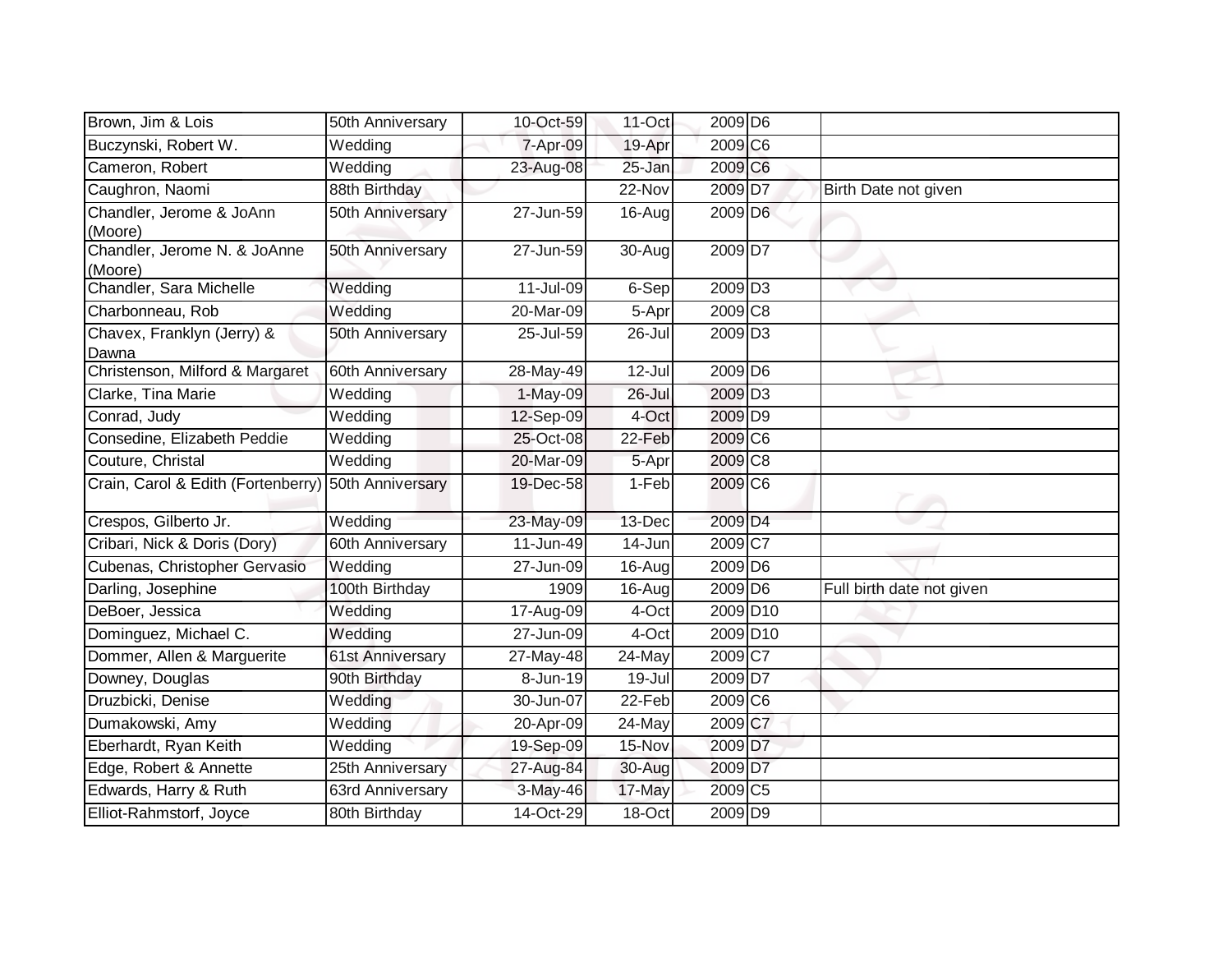| Brown, Jim & Lois                       | 50th Anniversary | 10-Oct-59  | 11-Oct     | 2009 D6              |                           |
|-----------------------------------------|------------------|------------|------------|----------------------|---------------------------|
| Buczynski, Robert W.                    | Wedding          | 7-Apr-09   | 19-Apr     | 2009 C6              |                           |
| Cameron, Robert                         | Wedding          | 23-Aug-08  | 25-Jan     | 2009 C6              |                           |
| Caughron, Naomi                         | 88th Birthday    |            | 22-Nov     | 2009 D7              | Birth Date not given      |
| Chandler, Jerome & JoAnn<br>(Moore)     | 50th Anniversary | 27-Jun-59  | 16-Aug     | 2009 D6              |                           |
| Chandler, Jerome N. & JoAnne<br>(Moore) | 50th Anniversary | 27-Jun-59  | 30-Aug     | 2009 D7              |                           |
| Chandler, Sara Michelle                 | Wedding          | 11-Jul-09  | 6-Sep      | 2009 D <sub>3</sub>  |                           |
| Charbonneau, Rob                        | Wedding          | 20-Mar-09  | 5-Apr      | 2009 C <sub>8</sub>  |                           |
| Chavex, Franklyn (Jerry) &<br>Dawna     | 50th Anniversary | 25-Jul-59  | 26-Jul     | 2009 D <sub>3</sub>  |                           |
| Christenson, Milford & Margaret         | 60th Anniversary | 28-May-49  | 12-Jul     | 2009 D6              |                           |
| Clarke, Tina Marie                      | Wedding          | $1-May-09$ | $26 -$ Jul | 2009 D <sub>3</sub>  |                           |
| Conrad, Judy                            | Wedding          | 12-Sep-09  | 4-Oct      | 2009 D9              |                           |
| Consedine, Elizabeth Peddie             | Wedding          | 25-Oct-08  | 22-Feb     | 2009 C6              |                           |
| Couture, Christal                       | Wedding          | 20-Mar-09  | 5-Apr      | 2009 C8              |                           |
| Crain, Carol & Edith (Fortenberry)      | 50th Anniversary | 19-Dec-58  | 1-Feb      | 2009 C6              |                           |
| Crespos, Gilberto Jr.                   | Wedding          | 23-May-09  | 13-Dec     | 2009 D <sub>4</sub>  |                           |
| Cribari, Nick & Doris (Dory)            | 60th Anniversary | 11-Jun-49  | 14-Jun     | 2009C7               |                           |
| Cubenas, Christopher Gervasio           | Wedding          | 27-Jun-09  | $16 - Aug$ | 2009 D6              |                           |
| Darling, Josephine                      | 100th Birthday   | 1909       | 16-Aug     | 2009 D6              | Full birth date not given |
| DeBoer, Jessica                         | Wedding          | 17-Aug-09  | 4-Oct      | 2009 D <sub>10</sub> |                           |
| Dominguez, Michael C.                   | Wedding          | 27-Jun-09  | 4-Oct      | 2009 D <sub>10</sub> |                           |
| Dommer, Allen & Marguerite              | 61st Anniversary | 27-May-48  | 24-May     | 2009 C7              |                           |
| Downey, Douglas                         | 90th Birthday    | 8-Jun-19   | 19-Jul     | 2009 D7              |                           |
| Druzbicki, Denise                       | Wedding          | 30-Jun-07  | 22-Feb     | 2009 C6              |                           |
| Dumakowski, Amy                         | Wedding          | 20-Apr-09  | 24-May     | 2009 C7              |                           |
| Eberhardt, Ryan Keith                   | Wedding          | 19-Sep-09  | 15-Nov     | 2009 D7              |                           |
| Edge, Robert & Annette                  | 25th Anniversary | 27-Aug-84  | 30-Aug     | 2009 D7              |                           |
| Edwards, Harry & Ruth                   | 63rd Anniversary | 3-May-46   | 17-May     | 2009 C5              |                           |
| Elliot-Rahmstorf, Joyce                 | 80th Birthday    | 14-Oct-29  | 18-Oct     | 2009 D9              |                           |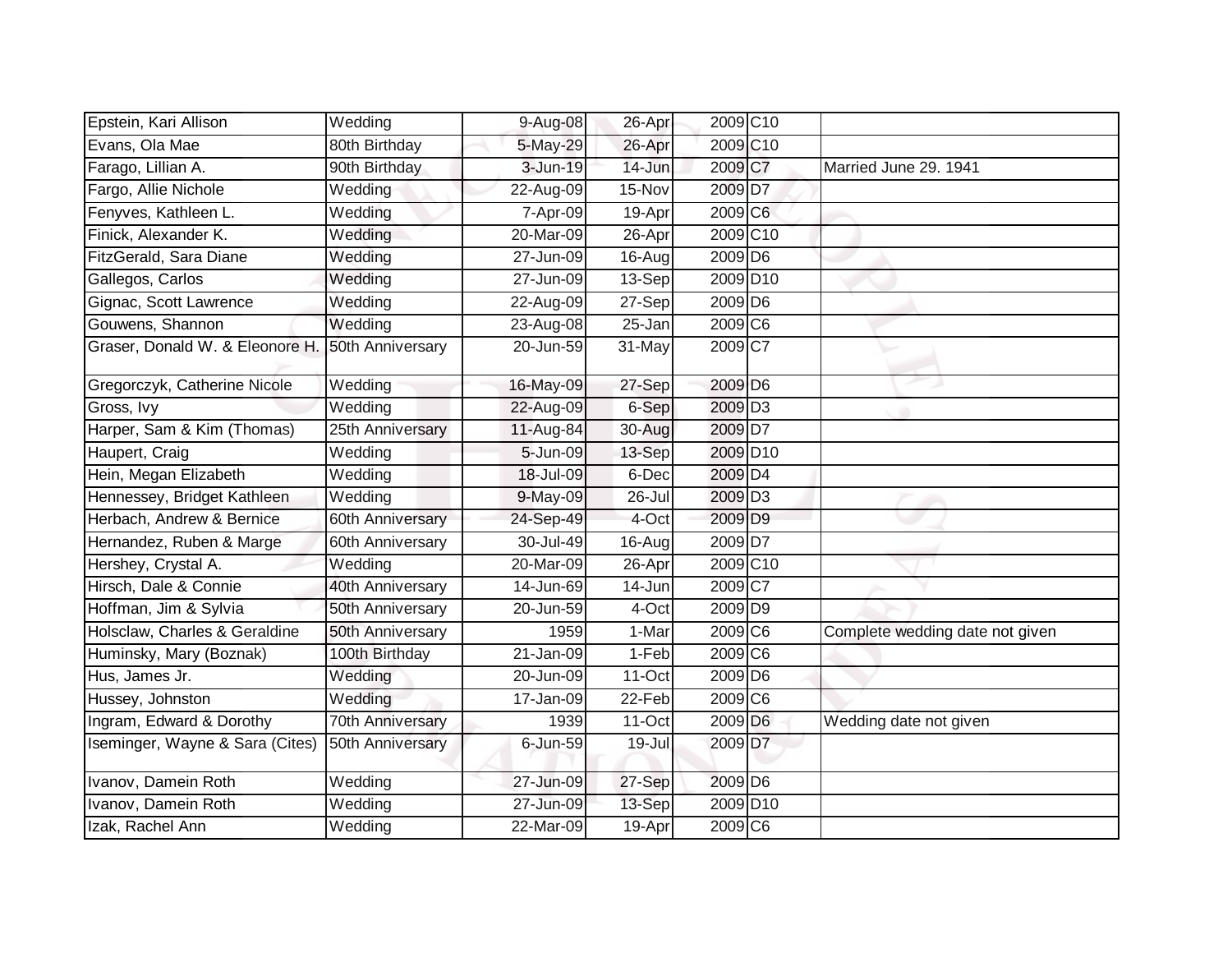| Epstein, Kari Allison           | Wedding          | 9-Aug-08     | 26-Apr  | 2009 C <sub>10</sub>  |                                 |
|---------------------------------|------------------|--------------|---------|-----------------------|---------------------------------|
| Evans, Ola Mae                  | 80th Birthday    | 5-May-29     | 26-Apr  | 2009 C <sub>10</sub>  |                                 |
| Farago, Lillian A.              | 90th Birthday    | 3-Jun-19     | 14-Jun  | 2009 C7               | Married June 29. 1941           |
| Fargo, Allie Nichole            | Wedding          | 22-Aug-09    | 15-Nov  | 2009 D7               |                                 |
| Fenyves, Kathleen L.            | Wedding          | 7-Apr-09     | 19-Apr  | 2009 C6               |                                 |
| Finick, Alexander K.            | Wedding          | 20-Mar-09    | 26-Apr  | 2009 C <sub>10</sub>  |                                 |
| FitzGerald, Sara Diane          | Wedding          | 27-Jun-09    | 16-Aug  | 2009 D6               |                                 |
| Gallegos, Carlos                | Wedding          | 27-Jun-09    | 13-Sep  | 2009 D <sub>10</sub>  |                                 |
| Gignac, Scott Lawrence          | Wedding          | 22-Aug-09    | 27-Sep  | 2009 D6               |                                 |
| Gouwens, Shannon                | Wedding          | 23-Aug-08    | 25-Jan  | $2009$ C <sub>6</sub> |                                 |
| Graser, Donald W. & Eleonore H. | 50th Anniversary | 20-Jun-59    | 31-May  | 2009 C7               |                                 |
| Gregorczyk, Catherine Nicole    | Wedding          | 16-May-09    | 27-Sep  | 2009 D6               |                                 |
| Gross, Ivy                      | Wedding          | 22-Aug-09    | $6-Sep$ | 2009 D <sub>3</sub>   |                                 |
| Harper, Sam & Kim (Thomas)      | 25th Anniversary | 11-Aug-84    | 30-Aug  | 2009 D7               |                                 |
| Haupert, Craig                  | Wedding          | 5-Jun-09     | 13-Sep  | 2009 D10              |                                 |
| Hein, Megan Elizabeth           | Wedding          | 18-Jul-09    | 6-Dec   | 2009 D <sub>4</sub>   |                                 |
| Hennessey, Bridget Kathleen     | Wedding          | 9-May-09     | 26-Jul  | 2009 D <sub>3</sub>   |                                 |
| Herbach, Andrew & Bernice       | 60th Anniversary | 24-Sep-49    | 4-Oct   | 2009 D9               |                                 |
| Hernandez, Ruben & Marge        | 60th Anniversary | 30-Jul-49    | 16-Aug  | 2009 <sub>D7</sub>    |                                 |
| Hershey, Crystal A.             | Wedding          | 20-Mar-09    | 26-Apr  | 2009 C <sub>10</sub>  |                                 |
| Hirsch, Dale & Connie           | 40th Anniversary | 14-Jun-69    | 14-Jun  | 2009 C7               |                                 |
| Hoffman, Jim & Sylvia           | 50th Anniversary | 20-Jun-59    | 4-Oct   | 2009 D9               |                                 |
| Holsclaw, Charles & Geraldine   | 50th Anniversary | 1959         | 1-Mar   | 2009 C6               | Complete wedding date not given |
| Huminsky, Mary (Boznak)         | 100th Birthday   | $21$ -Jan-09 | 1-Feb   | $2009$ C <sub>6</sub> |                                 |
| Hus, James Jr.                  | Wedding          | 20-Jun-09    | 11-Oct  | 2009 D6               |                                 |
| Hussey, Johnston                | Wedding          | 17-Jan-09    | 22-Feb  | 2009 C6               |                                 |
| Ingram, Edward & Dorothy        | 70th Anniversary | 1939         | 11-Oct  | 2009 D6               | Wedding date not given          |
| Iseminger, Wayne & Sara (Cites) | 50th Anniversary | 6-Jun-59     | 19-Jul  | 2009 D7               |                                 |
| Ivanov, Damein Roth             | Wedding          | 27-Jun-09    | 27-Sep  | 2009 D6               |                                 |
| Ivanov, Damein Roth             | Wedding          | 27-Jun-09    | 13-Sep  | 2009 D <sub>10</sub>  |                                 |
| Izak, Rachel Ann                | Wedding          | 22-Mar-09    | 19-Apr  | 2009 C6               |                                 |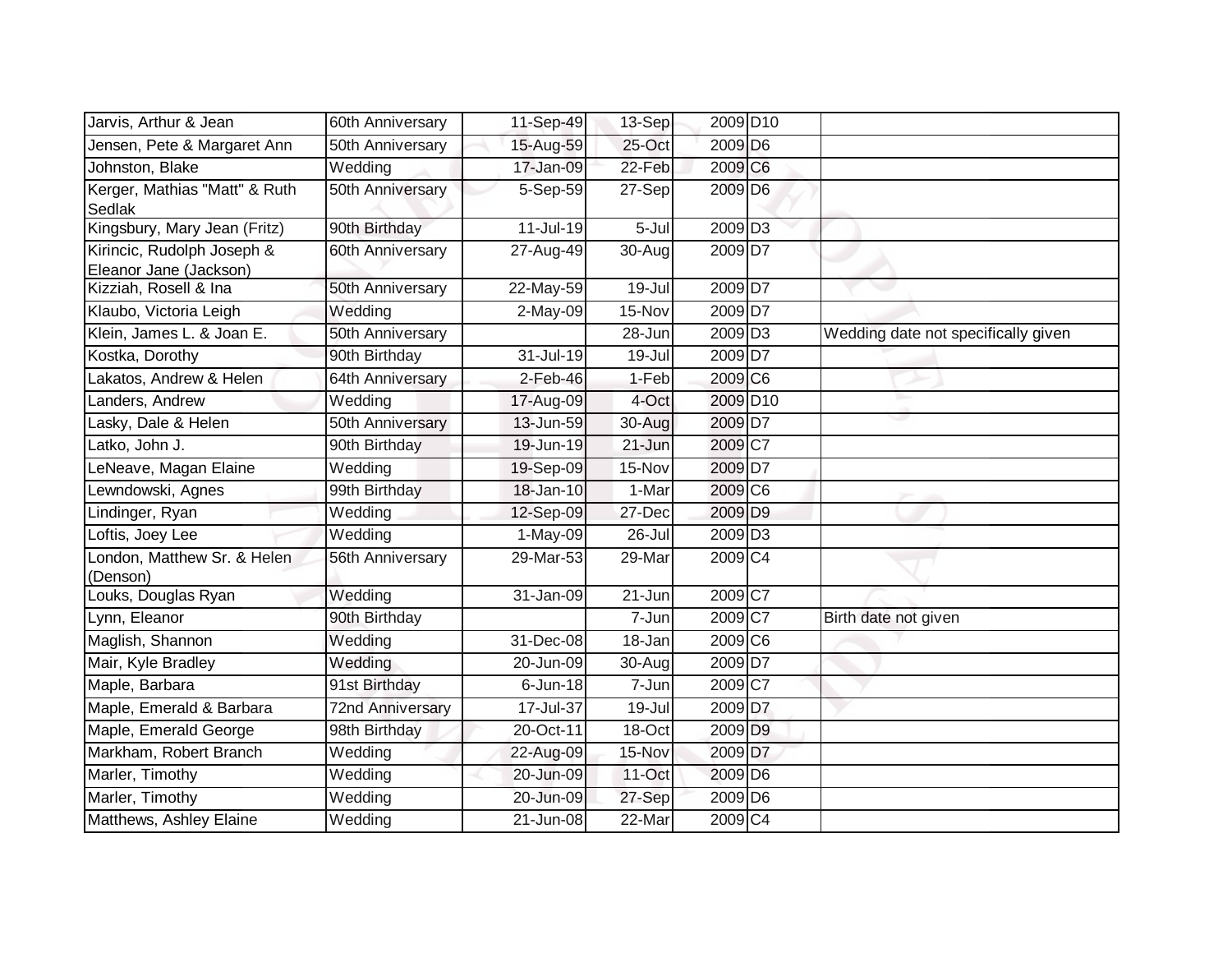| Jarvis, Arthur & Jean                                | 60th Anniversary        | 11-Sep-49               | $13-Sep$   | 2009 D <sub>10</sub>  |                                     |
|------------------------------------------------------|-------------------------|-------------------------|------------|-----------------------|-------------------------------------|
| Jensen, Pete & Margaret Ann                          | 50th Anniversary        | 15-Aug-59               | 25-Oct     | 2009 D6               |                                     |
| Johnston, Blake                                      | Wedding                 | 17-Jan-09               | 22-Feb     | 2009 C6               |                                     |
| Kerger, Mathias "Matt" & Ruth<br>Sedlak              | 50th Anniversary        | 5-Sep-59                | 27-Sep     | 2009 D6               |                                     |
| Kingsbury, Mary Jean (Fritz)                         | 90th Birthday           | 11-Jul-19               | 5-Jul      | 2009 D <sub>3</sub>   |                                     |
| Kirincic, Rudolph Joseph &<br>Eleanor Jane (Jackson) | 60th Anniversary        | 27-Aug-49               | 30-Aug     | 2009 D7               |                                     |
| Kizziah, Rosell & Ina                                | 50th Anniversary        | 22-May-59               | $19 -$ Jul | 2009 D7               |                                     |
| Klaubo, Victoria Leigh                               | Wedding                 | $2-May-09$              | 15-Nov     | $2009$ D7             |                                     |
| Klein, James L. & Joan E.                            | 50th Anniversary        |                         | 28-Jun     | 2009 D <sub>3</sub>   | Wedding date not specifically given |
| Kostka, Dorothy                                      | 90th Birthday           | 31-Jul-19               | 19-Jul     | 2009 D7               |                                     |
| akatos, Andrew & Helen                               | 64th Anniversary        | $2$ -Feb-46             | 1-Feb      | 2009 C6               |                                     |
| Landers, Andrew                                      | Wedding                 | 17-Aug-09               | 4-Oct      | 2009 D <sub>10</sub>  |                                     |
| Lasky, Dale & Helen                                  | 50th Anniversary        | 13-Jun-59               | 30-Aug     | 2009 D7               |                                     |
| Latko, John J.                                       | 90th Birthday           | 19-Jun-19               | 21-Jun     | 2009 C7               |                                     |
| eNeave, Magan Elaine                                 | Wedding                 | 19-Sep-09               | 15-Nov     | 2009 D7               |                                     |
| Lewndowski, Agnes                                    | 99th Birthday           | 18-Jan-10               | 1-Mar      | 2009 C6               |                                     |
| Lindinger, Ryan                                      | Wedding                 | 12-Sep-09               | 27-Dec     | 2009 D9               |                                     |
| oftis, Joey Lee                                      | Wedding                 | $1-May-09$              | 26-Jul     | 2009 D <sub>3</sub>   |                                     |
| ondon, Matthew Sr. & Helen<br>(Denson)               | 56th Anniversary        | 29-Mar-53               | 29-Mar     | 2009 C4               |                                     |
| ouks, Douglas Ryan                                   | Wedding                 | 31-Jan-09               | 21-Jun     | 2009 C7               |                                     |
| Lynn, Eleanor                                        | 90th Birthday           |                         | 7-Jun      | $2009$ C7             | Birth date not given                |
| Maglish, Shannon                                     | Wedding                 | $\overline{31}$ -Dec-08 | 18-Jan     | $2009$ C <sub>6</sub> |                                     |
| Mair, Kyle Bradley                                   | Wedding                 | 20-Jun-09               | 30-Aug     | 2009 D7               |                                     |
| Maple, Barbara                                       | 91st Birthday           | $6$ -Jun-18             | 7-Jun      | 2009 C7               |                                     |
| Maple, Emerald & Barbara                             | <b>72nd Anniversary</b> | 17-Jul-37               | 19-Jul     | 2009 D7               |                                     |
| Maple, Emerald George                                | 98th Birthday           | 20-Oct-11               | 18-Oct     | 2009 D9               |                                     |
| Markham, Robert Branch                               | Wedding                 | 22-Aug-09               | 15-Nov     | 2009 D7               |                                     |
| Marler, Timothy                                      | Wedding                 | 20-Jun-09               | 11-Oct     | 2009 D6               |                                     |
| Marler, Timothy                                      | Wedding                 | 20-Jun-09               | 27-Sep     | 2009 D6               |                                     |
| Matthews, Ashley Elaine                              | Wedding                 | $21$ -Jun-08            | 22-Mar     | 2009 C4               |                                     |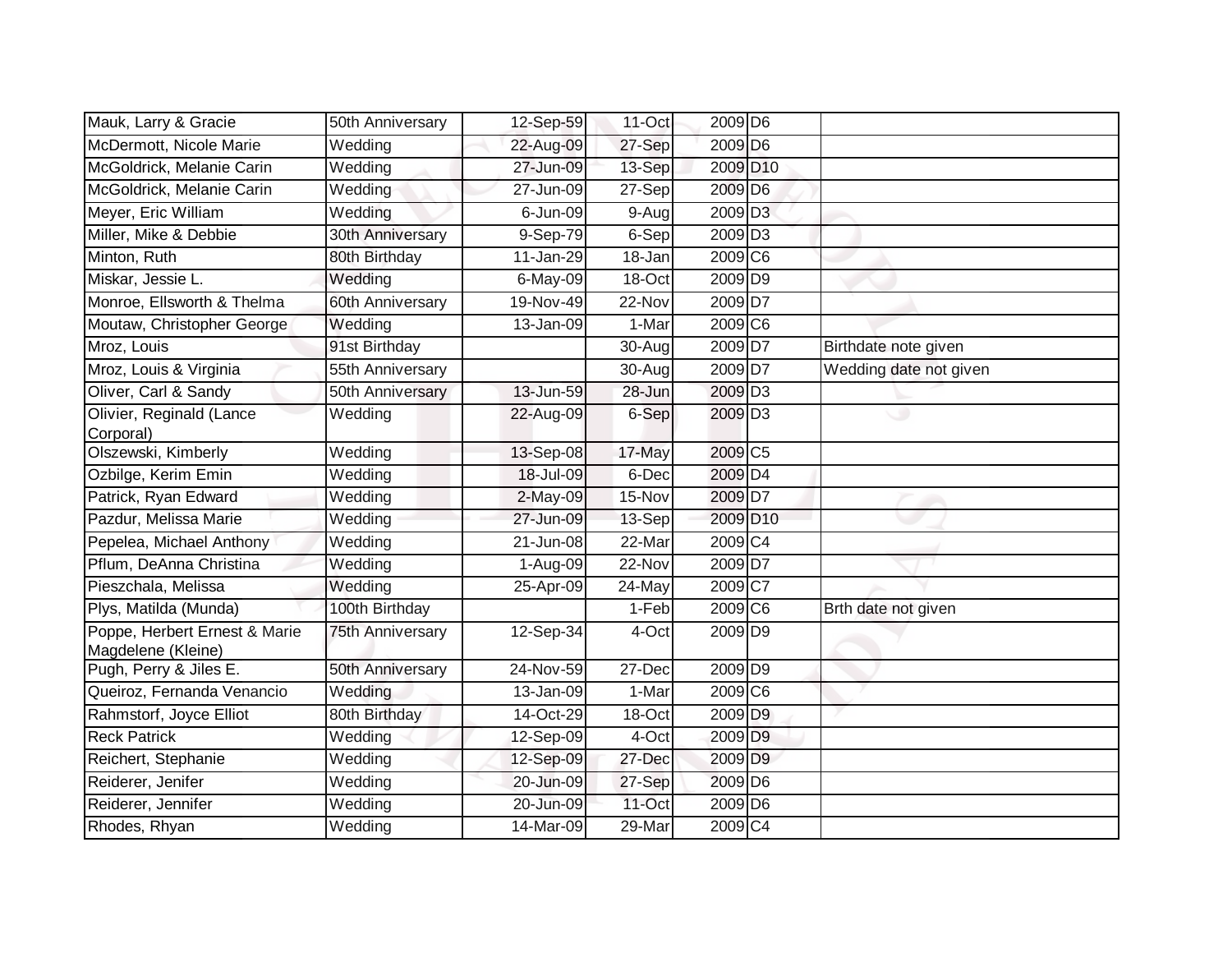| Mauk, Larry & Gracie                                | 50th Anniversary | 12-Sep-59     | $11$ -Oct | 2009 D6              |                        |
|-----------------------------------------------------|------------------|---------------|-----------|----------------------|------------------------|
| McDermott, Nicole Marie                             | Wedding          | 22-Aug-09     | 27-Sep    | 2009 D6              |                        |
| McGoldrick, Melanie Carin                           | Wedding          | 27-Jun-09     | 13-Sep    | 2009 D10             |                        |
| McGoldrick, Melanie Carin                           | Wedding          | 27-Jun-09     | 27-Sep    | 2009 D6              |                        |
| Meyer, Eric William                                 | Wedding          | $6$ -Jun-09   | $9-Aug$   | 2009 D <sub>3</sub>  |                        |
| Miller, Mike & Debbie                               | 30th Anniversary | $9-Sep-79$    | 6-Sep     | 2009 D <sub>3</sub>  |                        |
| Minton, Ruth                                        | 80th Birthday    | 11-Jan-29     | 18-Jan    | 2009 C6              |                        |
| Miskar, Jessie L.                                   | Wedding          | 6-May-09      | 18-Oct    | 2009 D9              |                        |
| Monroe, Ellsworth & Thelma                          | 60th Anniversary | 19-Nov-49     | 22-Nov    | 2009 D7              |                        |
| Moutaw, Christopher George                          | Wedding          | 13-Jan-09     | $1-Mar$   | 2009 C6              |                        |
| Mroz, Louis                                         | 91st Birthday    |               | 30-Aug    | 2009 D7              | Birthdate note given   |
| Mroz, Louis & Virginia                              | 55th Anniversary |               | 30-Aug    | 2009 D7              | Wedding date not given |
| Oliver, Carl & Sandy                                | 50th Anniversary | 13-Jun-59     | 28-Jun    | 2009 D <sub>3</sub>  |                        |
| Olivier, Reginald (Lance<br>Corporal)               | Wedding          | 22-Aug-09     | 6-Sep     | 2009 D <sub>3</sub>  |                        |
| Olszewski, Kimberly                                 | Wedding          | $13-$ Sep-08  | 17-May    | 2009 C5              |                        |
| Ozbilge, Kerim Emin                                 | Wedding          | 18-Jul-09     | 6-Dec     | 2009 D4              |                        |
| Patrick, Ryan Edward                                | Wedding          | 2-May-09      | 15-Nov    | 2009 D7              |                        |
| Pazdur, Melissa Marie                               | Wedding          | 27-Jun-09     | 13-Sep    | 2009 D <sub>10</sub> |                        |
| Pepelea, Michael Anthony                            | Wedding          | 21-Jun-08     | 22-Mar    | 2009 C4              |                        |
| Pflum, DeAnna Christina                             | Wedding          | 1-Aug-09      | 22-Nov    | 2009 D7              |                        |
| Pieszchala, Melissa                                 | Wedding          | 25-Apr-09     | 24-May    | 2009 C7              |                        |
| Plys, Matilda (Munda)                               | 100th Birthday   |               | 1-Feb     | 2009 C6              | Brth date not given    |
| Poppe, Herbert Ernest & Marie<br>Magdelene (Kleine) | 75th Anniversary | 12-Sep-34     | 4-Oct     | 2009 D9              |                        |
| Pugh, Perry & Jiles E.                              | 50th Anniversary | 24-Nov-59     | 27-Dec    | 2009 D9              |                        |
| Queiroz, Fernanda Venancio                          | Wedding          | $13 - Jan-09$ | 1-Mar     | 2009 C6              |                        |
| Rahmstorf, Joyce Elliot                             | 80th Birthday    | 14-Oct-29     | 18-Oct    | 2009 D9              |                        |
| <b>Reck Patrick</b>                                 | Wedding          | 12-Sep-09     | 4-Oct     | 2009 D9              |                        |
| Reichert, Stephanie                                 | Wedding          | 12-Sep-09     | 27-Dec    | 2009 D9              |                        |
| Reiderer, Jenifer                                   | Wedding          | 20-Jun-09     | 27-Sep    | 2009 D6              |                        |
| Reiderer, Jennifer                                  | Wedding          | 20-Jun-09     | 11-Oct    | 2009 D6              |                        |
| Rhodes, Rhyan                                       | Wedding          | 14-Mar-09     | 29-Mar    | 2009 C4              |                        |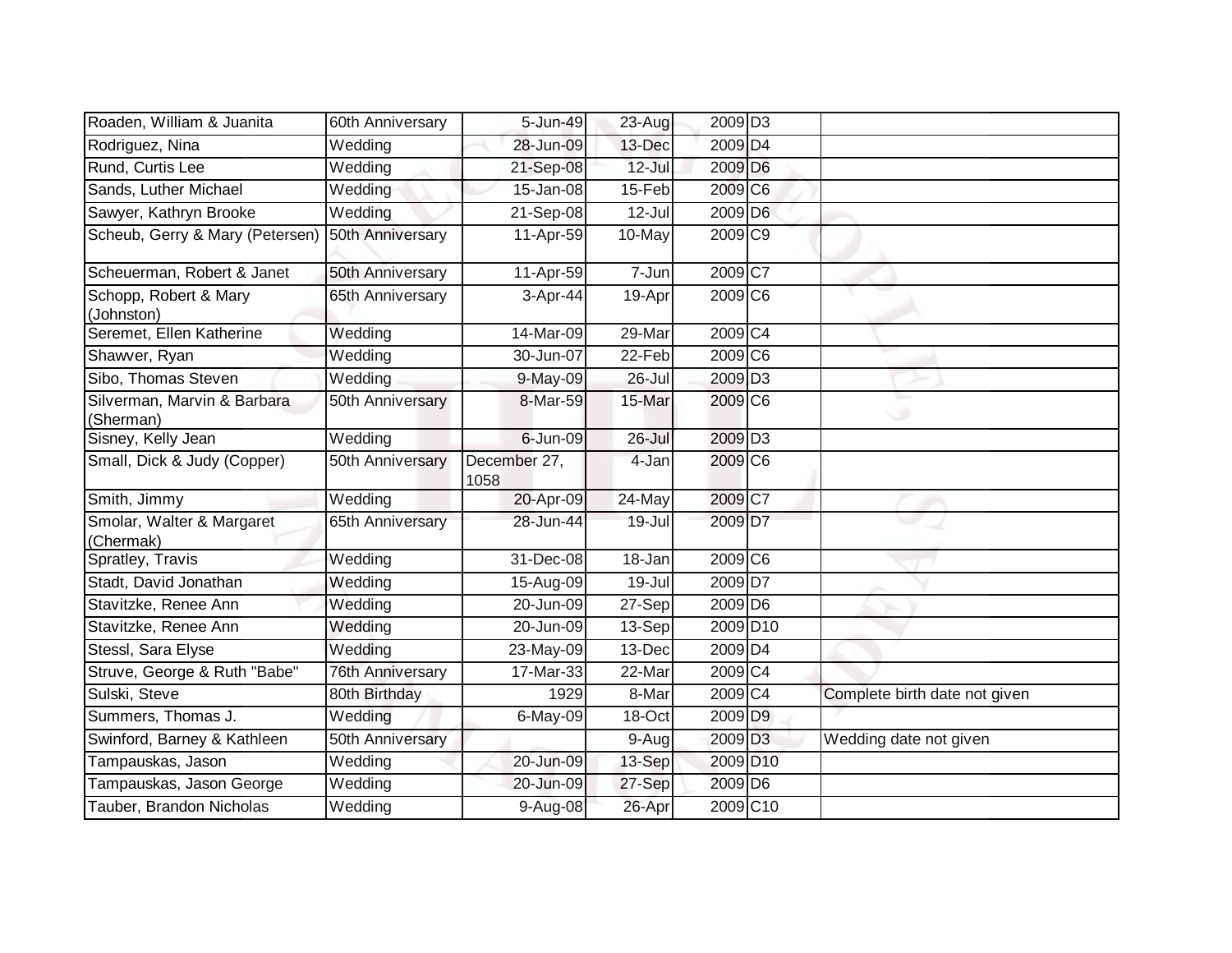| Roaden, William & Juanita                | 60th Anniversary        | 5-Jun-49             | 23-Aug     | 2009 D <sub>3</sub>   |                               |
|------------------------------------------|-------------------------|----------------------|------------|-----------------------|-------------------------------|
| Rodriguez, Nina                          | Wedding                 | 28-Jun-09            | 13-Dec     | 2009 D4               |                               |
| Rund, Curtis Lee                         | Wedding                 | 21-Sep-08            | $12$ -Jul  | 2009 D6               |                               |
| Sands, Luther Michael                    | Wedding                 | 15-Jan-08            | 15-Feb     | 2009 C6               |                               |
| Sawyer, Kathryn Brooke                   | Wedding                 | 21-Sep-08            | $12 -$ Jul | 2009 D6               |                               |
| Scheub, Gerry & Mary (Petersen)          | 50th Anniversary        | 11-Apr-59            | 10-May     | 2009 C9               |                               |
| Scheuerman, Robert & Janet               | 50th Anniversary        | 11-Apr-59            | $7 - Jun$  | $2009$ C <sub>7</sub> |                               |
| Schopp, Robert & Mary<br>(Johnston)      | 65th Anniversary        | 3-Apr-44             | 19-Apr     | 2009 C6               |                               |
| Seremet, Ellen Katherine                 | Wedding                 | 14-Mar-09            | 29-Mar     | 2009 C4               |                               |
| Shawver, Ryan                            | Wedding                 | 30-Jun-07            | 22-Feb     | $2009$ C <sub>6</sub> |                               |
| Sibo, Thomas Steven                      | Wedding                 | 9-May-09             | 26-Jul     | 2009 D <sub>3</sub>   |                               |
| Silverman, Marvin & Barbara<br>(Sherman) | 50th Anniversary        | 8-Mar-59             | 15-Mar     | 2009 C6               | ⊾<br>$\circ$                  |
| Sisney, Kelly Jean                       | Wedding                 | 6-Jun-09             | $26 -$ Jul | 2009 D <sub>3</sub>   |                               |
| Small, Dick & Judy (Copper)              | 50th Anniversary        | December 27,<br>1058 | 4-Jan      | 2009 C6               |                               |
| Smith, Jimmy                             | Wedding                 | 20-Apr-09            | 24-May     | 2009 C7               |                               |
| Smolar, Walter & Margaret<br>(Chermak)   | 65th Anniversary        | 28-Jun-44            | $19 -$ Jul | 2009 D7               |                               |
| Spratley, Travis                         | Wedding                 | 31-Dec-08            | 18-Jan     | 2009 C6               |                               |
| Stadt, David Jonathan                    | Wedding                 | 15-Aug-09            | 19-Jul     | $2009\overline{D7}$   |                               |
| Stavitzke, Renee Ann                     | Wedding                 | 20-Jun-09            | $27-Sep$   | $2009$ D <sub>6</sub> |                               |
| Stavitzke, Renee Ann                     | Wedding                 | 20-Jun-09            | 13-Sep     | 2009 D <sub>10</sub>  |                               |
| Stessl, Sara Elyse                       | Wedding                 | 23-May-09            | $13-Dec$   | 2009 D <sub>4</sub>   |                               |
| Struve, George & Ruth "Babe"             | <b>76th Anniversary</b> | 17-Mar-33            | 22-Mar     | 2009 C4               |                               |
| Sulski, Steve                            | 80th Birthday           | 1929                 | 8-Mar      | 2009C4                | Complete birth date not given |
| Summers, Thomas J.                       | Wedding                 | 6-May-09             | 18-Oct     | 2009 D9               |                               |
| Swinford, Barney & Kathleen              | 50th Anniversary        |                      | 9-Aug      | 2009 D <sub>3</sub>   | Wedding date not given        |
| Tampauskas, Jason                        | Wedding                 | 20-Jun-09            | 13-Sep     | 2009 D <sub>10</sub>  |                               |
| Tampauskas, Jason George                 | Wedding                 | 20-Jun-09            | 27-Sep     | 2009 D6               |                               |
| Tauber, Brandon Nicholas                 | Wedding                 | 9-Aug-08             | 26-Apr     | 2009 C <sub>10</sub>  |                               |